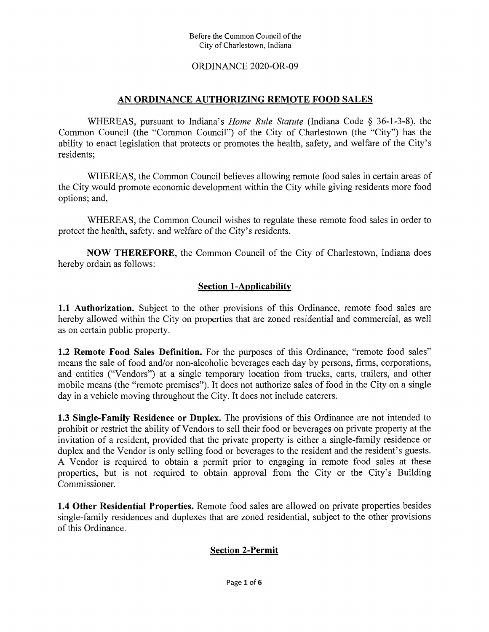### ORDINANCE 2020-OR-09

### **AN ORDINANCE AUTHORIZING REMOTE FOOD SALES**

WHEREAS, pursuant to Indiana's *Home Rule Statute* (Indiana Code § 36-1-3-8), the Common Council (the "Common Council") of the City of Charlestown (the "City") has the ability to enact legislation that protects or promotes the health, safety, and welfare of the City's residents;

WHEREAS, the Common Council believes allowing remote food sales in certain areas of the City would promote economic development within the City while giving residents more food options; and,

WHEREAS, the Common Council wishes to regulate these remote food sales in order to protect the health, safety, and welfare of the City's residents.

**NOW THEREFORE,** the Common Council of the City of Charlestown, Indiana does hereby ordain as follows:

### **Section 1-Applicability**

1.1 **Authorization.** Subject to the other provisions of this Ordinance, remote food sales are hereby allowed within the City on properties that are zoned residential and commercial, as well as on certain public property.

**1.2 Remote Food Sales Definition.** For the purposes of this Ordinance, "remote food sales" means the sale of food and/or non-alcoholic beverages each day by persons, firms, corporations, and entities ("Vendors") at a single temporary location from trucks, carts, trailers, and other mobile means (the "remote premises"). It does not authorize sales of food in the City on a single day in a vehicle moving throughout the City. It does not include caterers.

**1.3 Single-Family Residence or Duplex.** The provisions of this Ordinance are not intended to prohibit or restrict the ability of Vendors to sell their food or beverages on private property at the invitation of a resident, provided that the private property is either a single-family residence or duplex and the Vendor is only selling food or beverages to the resident and the resident's guests. A Vendor is required to obtain a permit prior to engaging in remote food sales at these properties, but is not required to obtain approval from the City or the City's Building Commissioner.

1.4 **Other Residential Properties.** Remote food sales are allowed on private properties besides single-family residences and duplexes that are zoned residential, subject to the other provisions of this Ordinance.

### **Section 2-Permit**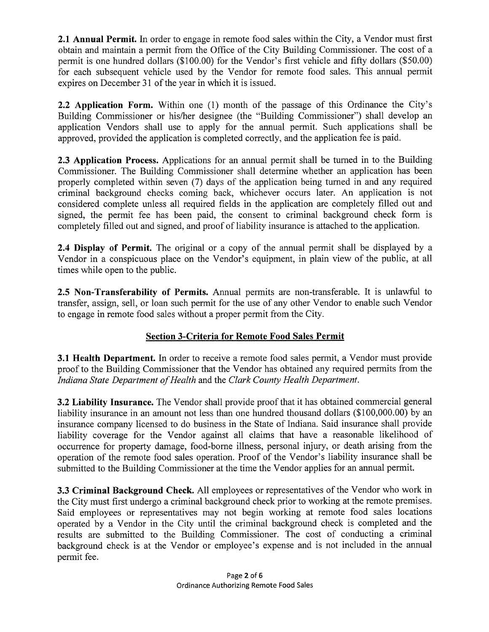**2.1 Annual Permit.** In order to engage in remote food sales within the City, a Vendor must first obtain and maintain a permit from the Office of the City Building Commissioner. The cost of a permit is one himdred dollars (\$100.00) for the Vendor's first vehicle and fifty dollars (\$50.00) for each subsequent vehicle used by the Vendor for remote food sales. This annual permit expires on December 31 of the year in which it is issued.

2.2 **Application Form.** Within one (1) month of the passage of this Ordinance the City's Building Commissioner or his/her designee (the "Building Commissioner") shall develop an application Vendors shall use to apply for the annual permit. Such applications shall be approved, provided the application is completed correctly, and the application fee is paid.

2.3 **Application Process.** Applications for an annual permit shall be turned in to the Building Commissioner. The Building Commissioner shall determine whether an application has been properly completed within seven (7) days of the application being turned in and any required criminal background checks coming back, whichever occurs later. An application is not considered complete unless all required fields in the application are completely filled out and signed, the permit fee has been paid, the consent to criminal background check form is completely filled out and signed, and proof of liability insurance is attached to the application.

**2.4 Display of Permit.** The original or a copy of the annual permit shall be displayed by a Vendor in a conspicuous place on the Vendor's equipment, in plain view of the public, at all times while open to the public.

**2.5 Non-Transferability of Permits.** Annual permits are non-transferable. It is unlawful to transfer, assign, sell, or loan such permit for the use of any other Vendor to enable such Vendor to engage in remote food sales without a proper permit from the City.

# **Section 3-Criteria for Remote Food Sales Permit**

**3.1 Health Department.** In order to receive a remote food sales permit, a Vendor must provide proof to the Building Commissioner that the Vendor has obtained any required permits from the *Indiana State Department ofHealth* and the *Clark County Health Department.*

**3.2 Liability Insurance.** The Vendor shall provide proof that it has obtained commercial general liability insurance in an amount not less than one hundred thousand dollars (\$100,000.00) by an insurance company licensed to do business in the State of Indiana. Said insurance shall provide liability coverage for the Vendor against all claims that have a reasonable likelihood of occurrence for property damage, food-borne illness, personal injury, or death arising from the operation of the remote food sales operation. Proof of the Vendor's liability insurance shall be submitted to the Building Commissioner at the time the Vendor applies for an annual permit.

**3.3 Criminal Background Check.** All employees or representatives of the Vendor who work in the City must first undergo a criminal background check prior to working at the remote premises. Said employees or representatives may not begin working at remote food sales locations operated by a Vendor in the City until the criminal background check is completed and the results are submitted to the Building Commissioner. The cost of conducting a criminal background check is at the Vendor or employee's expense and is not included in the annual permit fee.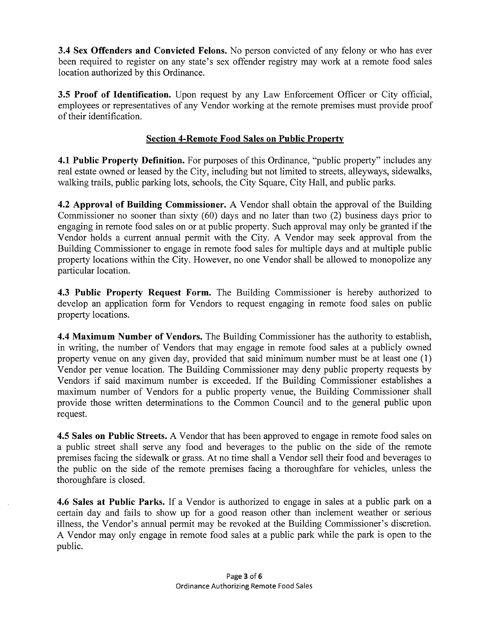3.4 **Sex Offenders and Convicted Felons.** No person convicted of any felony or who has ever been required to register on any state's sex offender registry may work at a remote food sales location authorized by this Ordinance.

3.5 **Proof of Identification.** Upon request by any Law Enforcement Officer or City official, employees or representatives of any Vendor working at the remote premises must provide proof oftheir identification.

## **Section 4-Remote Food Sales on Public Property**

4.1 Public Property Definition. For purposes of this Ordinance, "public property" includes any real estate owned or leased by the City, including but not limited to streets, alleyways, sidewalks, walking trails, public parking lots, schools, the City Square, City Hall, and public parks.

**4.2 Approval of Building Commissioner.** A Vendor shall obtain the approval of the Building Commissioner no sooner than sixty (60) days and no later than two (2) business days prior to engaging in remote food sales on or at public property. Such approval may only be granted if the Vendor holds a current annual permit with the City. A Vendor may seek approval from the Building Commissioner to engage in remote food sales for multiple days and at multiple public property locations within the City. However, no one Vendor shall be allowed to monopolize any particular location.

4.3 **Public Property Request Form.** The Building Commissioner is hereby authorized to develop an application form for Vendors to request engaging in remote food sales on public property locations.

4.4 **Maximum Number of Vendors.** The Building Commissioner has the authority to establish, in writing, the number of Vendors that may engage in remote food sales at a publicly owned property venue on any given day, provided that said minimum number must be at least one (1) Vendor per venue location. The Building Commissioner may deny public property requests by Vendors if said maximum number is exceeded. If the Building Commissioner establishes a maximum number of Vendors for a public property venue, the Building Commissioner shall provide those written determinations to the Common Council and to the general public upon request.

**4.5 Sales on Public Streets.** A Vendor that has been approved to engage in remote food sales on a public street shall serve any food and beverages to the public on the side of the remote premises facing the sidewalk or grass. At no time shall a Vendor sell their food and beverages to the public on the side of the remote premises facing a thoroughfare for vehicles, unless the thoroughfare is closed.

**4.6 Sales at Public Parks.** If a Vendor is authorized to engage in sales at a public park on a certain day and fails to show up for a good reason other than inclement weather or serious illness, the Vendor's annual permit may be revoked at the Building Commissioner's discretion. A Vendor may only engage in remote food sales at a public park while the park is open to the public.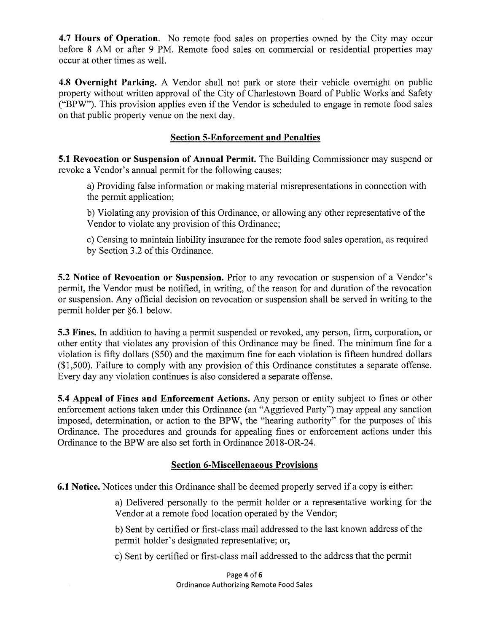**4.7 Hours of Operation.** No remote food sales on properties owned by the City may occur before 8 AM or after 9 PM. Remote food sales on commercial or residential properties may occur at other times as well.

4.8 **Overnight Parking.** A Vendor shall not park or store their vehicle overnight on public property without written approval of the City of Charlestown Board of Public Works and Safety ("BPW"). This provision applies even if the Vendor is scheduled to engage in remote food sales on that public property venue on the next day.

### **Section 5-Enforcement and Penalties**

**5.1 Revocation or Suspension of Annual Permit.** The Building Commissioner may suspend or revoke a Vendor's annual permit for the following causes:

a) Providing false information or making material misrepresentations in connection with the permit application;

b) Violating any provision of this Ordinance, or allowing any other representative of the Vendor to violate any provision of this Ordinance;

c) Ceasing to maintain liability insurance for the remote food sales operation, as required by Section 3.2 of this Ordinance.

**5.2 Notice of Revocation or Suspension.** Prior to any revocation or suspension of a Vendor's permit, the Vendor must be notified, in writing, of the reason for and duration of the revocation or suspension. Any official decision on revocation or suspension shall be served in writing to the permit holder per §6.1 below.

**5.3 Fines.** In addition to having a permit suspended or revoked, any person, firm, corporation, or other entity that violates any provision of this Ordinance may be fined. The minimum fine for a violation is fifty dollars (\$50) and the maximum fine for each violation is fifteen hundred dollars  $($1,500)$ . Failure to comply with any provision of this Ordinance constitutes a separate offense. Every day any violation continues is also considered a separate offense.

**5.4 Appeal of Fines and Enforcement Actions.** Any person or entity subject to fines or other enforcement actions taken under this Ordinance (an "Aggrieved Party") may appeal any sanction imposed, determination, or action to the BPW, the "hearing authority" for the purposes of this Ordinance. The procedures and grounds for appealing fines or enforcement actions under this Ordinance to the BPW are also set forth in Ordinance 2018-OR-24.

#### **Section 6-Miscelienaeous Provisions**

**6.1 Notice.** Notices under this Ordinance shall be deemed properly served if a copy is either:

a) Delivered personally to the permit holder or a representative working for the Vendor at a remote food location operated by the Vendor;

b) Sent by certified or first-class mail addressed to the last known address of the permit holder's designated representative; or,

c) Sent by certified or first-class mail addressed to the address that the permit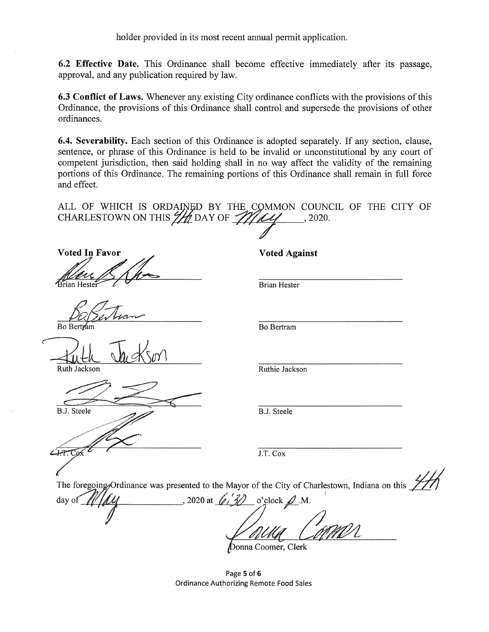holder provided in its most recent annual permit application.

6.2 **Effective Date.** This Ordinance shall become effective immediately after its passage, approval, and any publication required by law.

**6.3 Conflict of Laws.** Whenever any existing City ordinance conflicts with the provisions ofthis Ordinance, the provisions of this Ordinance shall control and supersede the provisions of other ordinances.

**6.4. Severability.** Each section of this Ordinance is adopted separately. If any section, clause, sentence, or phrase of this Ordinance is held to be invalid or unconstitutional by any court of competent jurisdiction, then said holding shall in no way affect the validity of the remaining portions of this Ordinance. The remaining portions of this Ordinance shall remain in full force and effect.

|  |  |  |  | ALL OF WHICH IS ORDAINED BY THE COMMON COUNCIL OF THE CITY OF CHARLESTOWN ON THIS $\frac{2}{2}$ DAY OF $\frac{2}{2}$ DAY OF 2020. |  |  |  |  |  |  |  |  |  |
|--|--|--|--|-----------------------------------------------------------------------------------------------------------------------------------|--|--|--|--|--|--|--|--|--|
|  |  |  |  |                                                                                                                                   |  |  |  |  |  |  |  |  |  |
|  |  |  |  |                                                                                                                                   |  |  |  |  |  |  |  |  |  |

**Voted In Favor Voted Against** Brian Hest

Bo Ber

Ruth Jackson

**B.J.** Steele

سيتبية

Brian Hester

Bo Bertram

Ruthie Jackson

B.J. Steele

J.T. Cox

The foregoing Ordinance was presented to the Mayor of the City of Charlestown, Indiana on this

day of  $\mathcal{U}/\mathcal{U}$ . 2020 at  $\mathcal{U}$ . 30 o'clock  $\mathcal{D}$ .M. Donna Coomer, Clerk

**Page 5 of 6 Ordinance Authorizing Remote Food Sales**